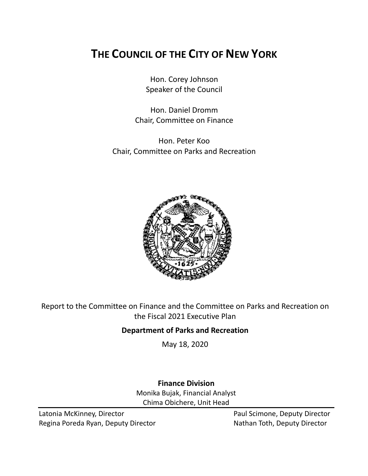# **THE COUNCIL OF THE CITY OF NEW YORK**

Hon. Corey Johnson Speaker of the Council

Hon. Daniel Dromm Chair, Committee on Finance

Hon. Peter Koo Chair, Committee on Parks and Recreation



Report to the Committee on Finance and the Committee on Parks and Recreation on the Fiscal 2021 Executive Plan

## **Department of Parks and Recreation**

May 18, 2020

## **Finance Division**

Monika Bujak, Financial Analyst Chima Obichere, Unit Head

Latonia McKinney, Director **Paul Scimone, Deputy Director** Paul Scimone, Deputy Director Regina Poreda Ryan, Deputy Director Nathan Toth, Deputy Director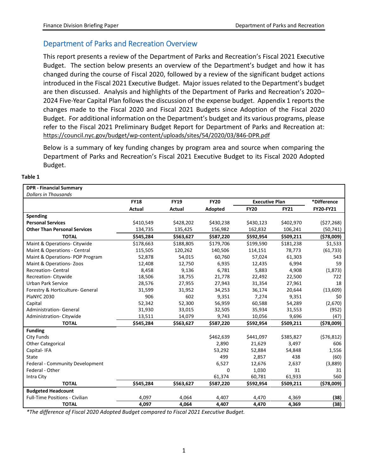## Department of Parks and Recreation Overview

This report presents a review of the Department of Parks and Recreation's Fiscal 2021 Executive Budget. The section below presents an overview of the Department's budget and how it has changed during the course of Fiscal 2020, followed by a review of the significant budget actions introduced in the Fiscal 2021 Executive Budget. Major issues related to the Department's budget are then discussed. Analysis and highlights of the Department of Parks and Recreation's 2020– 2024 Five-Year Capital Plan follows the discussion of the expense budget. Appendix 1 reports the changes made to the Fiscal 2020 and Fiscal 2021 Budgets since Adoption of the Fiscal 2020 Budget. For additional information on the Department's budget and its various programs, please refer to the Fiscal 2021 Preliminary Budget Report for Department of Parks and Recreation at: <https://council.nyc.gov/budget/wp-content/uploads/sites/54/2020/03/846-DPR.pdf>

Below is a summary of key funding changes by program area and source when comparing the Department of Parks and Recreation's Fiscal 2021 Executive Budget to its Fiscal 2020 Adopted Budget.

| I<br>. .<br>×<br>۰.<br>۰,<br> |
|-------------------------------|
|-------------------------------|

| <b>DPR - Financial Summary</b>        |               |             |             |                       |             |             |
|---------------------------------------|---------------|-------------|-------------|-----------------------|-------------|-------------|
| <b>Dollars in Thousands</b>           |               |             |             |                       |             |             |
|                                       | <b>FY18</b>   | <b>FY19</b> | <b>FY20</b> | <b>Executive Plan</b> |             | *Difference |
|                                       | <b>Actual</b> | Actual      | Adopted     | <b>FY20</b>           | <b>FY21</b> | FY20-FY21   |
| Spending                              |               |             |             |                       |             |             |
| <b>Personal Services</b>              | \$410,549     | \$428,202   | \$430,238   | \$430,123             | \$402,970   | (527, 268)  |
| <b>Other Than Personal Services</b>   | 134,735       | 135,425     | 156,982     | 162,832               | 106,241     | (50, 741)   |
| <b>TOTAL</b>                          | \$545,284     | \$563,627   | \$587,220   | \$592,954             | \$509,211   | (578,009)   |
| Maint & Operations- Citywide          | \$178,663     | \$188,805   | \$179,706   | \$199,590             | \$181,238   | \$1,533     |
| Maint & Operations - Central          | 115,505       | 120,262     | 140,506     | 114,151               | 78,773      | (61, 733)   |
| Maint & Operations- POP Program       | 52,878        | 54,015      | 60,760      | 57,024                | 61,303      | 543         |
| Maint & Operations-Zoos               | 12,408        | 12,750      | 6,935       | 12,435                | 6,994       | 59          |
| <b>Recreation-Central</b>             | 8,458         | 9,136       | 6,781       | 5,883                 | 4,908       | (1,873)     |
| Recreation-Citywide                   | 18,506        | 18,755      | 21,778      | 22,492                | 22,500      | 722         |
| <b>Urban Park Service</b>             | 28,576        | 27,955      | 27,943      | 31,354                | 27,961      | 18          |
| Forestry & Horticulture- General      | 31,599        | 31,952      | 34,253      | 36,174                | 20,644      | (13,609)    |
| <b>PlaNYC 2030</b>                    | 906           | 602         | 9,351       | 7,274                 | 9,351       | \$0         |
| Capital                               | 52,342        | 52,300      | 56,959      | 60,588                | 54,289      | (2,670)     |
| <b>Administration- General</b>        | 31,930        | 33,015      | 32,505      | 35,934                | 31,553      | (952)       |
| Administration-Citywide               | 13,511        | 14,079      | 9,743       | 10,056                | 9,696       | (47)        |
| <b>TOTAL</b>                          | \$545,284     | \$563,627   | \$587,220   | \$592,954             | \$509,211   | (\$78,009)  |
| <b>Funding</b>                        |               |             |             |                       |             |             |
| City Funds                            |               |             | \$462,639   | \$441,097             | \$385,827   | (576, 812)  |
| <b>Other Categorical</b>              |               |             | 2,890       | 21,629                | 3,497       | 606         |
| Capital-IFA                           |               |             | 53,292      | 52,884                | 54,848      | 1,556       |
| State                                 |               |             | 499         | 2,857                 | 438         | (60)        |
| Federal - Community Development       |               |             | 6,527       | 12,676                | 2,637       | (3,889)     |
| Federal - Other                       |               |             | 0           | 1,030                 | 31          | 31          |
| Intra City                            |               |             | 61,374      | 60,781                | 61,933      | 560         |
| <b>TOTAL</b>                          | \$545,284     | \$563,627   | \$587,220   | \$592,954             | \$509,211   | (578,009)   |
| <b>Budgeted Headcount</b>             |               |             |             |                       |             |             |
| <b>Full-Time Positions - Civilian</b> | 4,097         | 4,064       | 4,407       | 4,470                 | 4,369       | (38)        |
| <b>TOTAL</b>                          | 4,097         | 4,064       | 4,407       | 4,470                 | 4,369       | (38)        |

*\*The difference of Fiscal 2020 Adopted Budget compared to Fiscal 2021 Executive Budget.*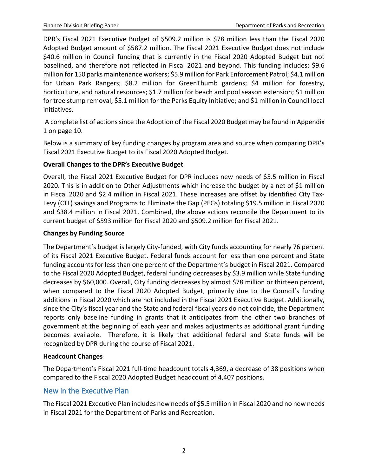DPR's Fiscal 2021 Executive Budget of \$509.2 million is \$78 million less than the Fiscal 2020 Adopted Budget amount of \$587.2 million. The Fiscal 2021 Executive Budget does not include \$40.6 million in Council funding that is currently in the Fiscal 2020 Adopted Budget but not baselined, and therefore not reflected in Fiscal 2021 and beyond. This funding includes: \$9.6 million for 150 parks maintenance workers; \$5.9 million for Park Enforcement Patrol; \$4.1 million for Urban Park Rangers; \$8.2 million for GreenThumb gardens; \$4 million for forestry, horticulture, and natural resources; \$1.7 million for beach and pool season extension; \$1 million for tree stump removal; \$5.1 million for the Parks Equity Initiative; and \$1 million in Council local initiatives.

A complete list of actions since the Adoption of the Fiscal 2020 Budget may be found in Appendix 1 on page 10.

Below is a summary of key funding changes by program area and source when comparing DPR's Fiscal 2021 Executive Budget to its Fiscal 2020 Adopted Budget.

#### **Overall Changes to the DPR's Executive Budget**

Overall, the Fiscal 2021 Executive Budget for DPR includes new needs of \$5.5 million in Fiscal 2020. This is in addition to Other Adjustments which increase the budget by a net of \$1 million in Fiscal 2020 and \$2.4 million in Fiscal 2021. These increases are offset by identified City Tax-Levy (CTL) savings and Programs to Eliminate the Gap (PEGs) totaling \$19.5 million in Fiscal 2020 and \$38.4 million in Fiscal 2021. Combined, the above actions reconcile the Department to its current budget of \$593 million for Fiscal 2020 and \$509.2 million for Fiscal 2021.

#### **Changes by Funding Source**

The Department's budget is largely City-funded, with City funds accounting for nearly 76 percent of its Fiscal 2021 Executive Budget. Federal funds account for less than one percent and State funding accounts for less than one percent of the Department's budget in Fiscal 2021. Compared to the Fiscal 2020 Adopted Budget, federal funding decreases by \$3.9 million while State funding decreases by \$60,000. Overall, City funding decreases by almost \$78 million or thirteen percent, when compared to the Fiscal 2020 Adopted Budget, primarily due to the Council's funding additions in Fiscal 2020 which are not included in the Fiscal 2021 Executive Budget. Additionally, since the City's fiscal year and the State and federal fiscal years do not coincide, the Department reports only baseline funding in grants that it anticipates from the other two branches of government at the beginning of each year and makes adjustments as additional grant funding becomes available. Therefore, it is likely that additional federal and State funds will be recognized by DPR during the course of Fiscal 2021.

#### **Headcount Changes**

The Department's Fiscal 2021 full-time headcount totals 4,369, a decrease of 38 positions when compared to the Fiscal 2020 Adopted Budget headcount of 4,407 positions.

### New in the Executive Plan

The Fiscal 2021 Executive Plan includes new needs of \$5.5 million in Fiscal 2020 and no new needs in Fiscal 2021 for the Department of Parks and Recreation.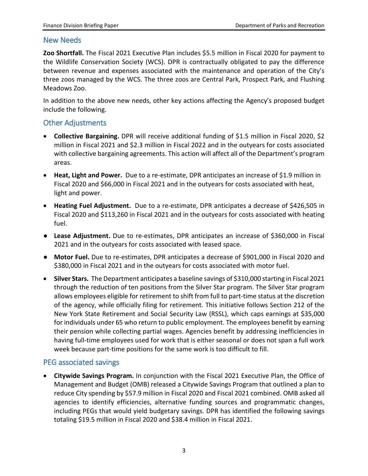#### New Needs

**Zoo Shortfall.** The Fiscal 2021 Executive Plan includes \$5.5 million in Fiscal 2020 for payment to the Wildlife Conservation Society (WCS). DPR is contractually obligated to pay the difference between revenue and expenses associated with the maintenance and operation of the City's three zoos managed by the WCS. The three zoos are Central Park, Prospect Park, and Flushing Meadows Zoo.

In addition to the above new needs, other key actions affecting the Agency's proposed budget include the following.

## Other Adjustments

- **Collective Bargaining.** DPR will receive additional funding of \$1.5 million in Fiscal 2020, \$2 million in Fiscal 2021 and \$2.3 million in Fiscal 2022 and in the outyears for costs associated with collective bargaining agreements. This action will affect all of the Department's program areas.
- **Heat, Light and Power.** Due to a re-estimate, DPR anticipates an increase of \$1.9 million in Fiscal 2020 and \$66,000 in Fiscal 2021 and in the outyears for costs associated with heat, light and power.
- **Heating Fuel Adjustment.** Due to a re-estimate, DPR anticipates a decrease of \$426,505 in Fiscal 2020 and \$113,260 in Fiscal 2021 and in the outyears for costs associated with heating fuel.
- **Lease Adjustment.** Due to re-estimates, DPR anticipates an increase of \$360,000 in Fiscal 2021 and in the outyears for costs associated with leased space.
- **Motor Fuel.** Due to re-estimates, DPR anticipates a decrease of \$901,000 in Fiscal 2020 and \$380,000 in Fiscal 2021 and in the outyears for costs associated with motor fuel.
- **Silver Stars.** The Department anticipates a baseline savings of \$310,000 starting in Fiscal 2021 through the reduction of ten positions from the Silver Star program. The Silver Star program allows employees eligible for retirement to shift from full to part-time status at the discretion of the agency, while officially filing for retirement. This initiative follows Section 212 of the New York State Retirement and Social Security Law (RSSL), which caps earnings at \$35,000 for individuals under 65 who return to public employment. The employees benefit by earning their pension while collecting partial wages. Agencies benefit by addressing inefficiencies in having full-time employees used for work that is either seasonal or does not span a full work week because part-time positions for the same work is too difficult to fill.

## PEG associated savings

• **Citywide Savings Program.** In conjunction with the Fiscal 2021 Executive Plan, the Office of Management and Budget (OMB) released a Citywide Savings Program that outlined a plan to reduce City spending by \$57.9 million in Fiscal 2020 and Fiscal 2021 combined. OMB asked all agencies to identify efficiencies, alternative funding sources and programmatic changes, including PEGs that would yield budgetary savings. DPR has identified the following savings totaling \$19.5 million in Fiscal 2020 and \$38.4 million in Fiscal 2021.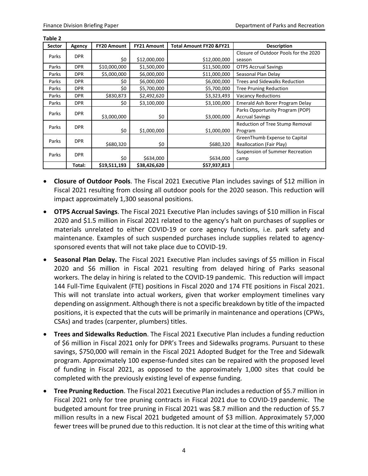**Table 2**

| <b>Sector</b> | Agency     | <b>FY20 Amount</b> | <b>FY21 Amount</b> | <b>Total Amount FY20 &amp;FY21</b> | <b>Description</b>                    |  |  |
|---------------|------------|--------------------|--------------------|------------------------------------|---------------------------------------|--|--|
| Parks         | <b>DPR</b> |                    |                    |                                    | Closure of Outdoor Pools for the 2020 |  |  |
|               |            | \$0                | \$12,000,000       | \$12,000,000                       | season                                |  |  |
| Parks         | <b>DPR</b> | \$10,000,000       | \$1,500,000        | \$11,500,000                       | <b>OTPS Accrual Savings</b>           |  |  |
| Parks         | <b>DPR</b> | \$5,000,000        | \$6,000,000        | \$11,000,000                       | Seasonal Plan Delay                   |  |  |
| Parks         | <b>DPR</b> | \$0                | \$6,000,000        | \$6,000,000                        | <b>Trees and Sidewalks Reduction</b>  |  |  |
| Parks         | <b>DPR</b> | \$0                | \$5,700,000        | \$5,700,000                        | <b>Tree Pruning Reduction</b>         |  |  |
| Parks         | <b>DPR</b> | \$830,873          | \$2,492,620        | \$3,323,493                        | <b>Vacancy Reductions</b>             |  |  |
| Parks         | <b>DPR</b> | \$0                | \$3,100,000        | \$3,100,000                        | Emerald Ash Borer Program Delay       |  |  |
| Parks         | <b>DPR</b> |                    |                    |                                    | Parks Opportunity Program (POP)       |  |  |
|               |            | \$3,000,000        | \$0                | \$3,000,000                        | <b>Accrual Savings</b>                |  |  |
| Parks         | <b>DPR</b> |                    |                    |                                    | Reduction of Tree Stump Removal       |  |  |
|               |            | \$0                | \$1,000,000        | \$1,000,000                        | Program                               |  |  |
| Parks         | <b>DPR</b> |                    |                    |                                    | GreenThumb Expense to Capital         |  |  |
|               |            | \$680,320          | \$0                | \$680,320                          | <b>Reallocation (Fair Play)</b>       |  |  |
| Parks         | <b>DPR</b> |                    |                    |                                    | Suspension of Summer Recreation       |  |  |
|               |            | \$0                | \$634,000          | \$634,000                          | camp                                  |  |  |
|               | Total:     | \$19,511,193       | \$38,426,620       | \$57,937,813                       |                                       |  |  |

- **Closure of Outdoor Pools**. The Fiscal 2021 Executive Plan includes savings of \$12 million in Fiscal 2021 resulting from closing all outdoor pools for the 2020 season. This reduction will impact approximately 1,300 seasonal positions.
- **OTPS Accrual Savings**. The Fiscal 2021 Executive Plan includes savings of \$10 million in Fiscal 2020 and \$1.5 million in Fiscal 2021 related to the agency's halt on purchases of supplies or materials unrelated to either COVID-19 or core agency functions, i.e. park safety and maintenance. Examples of such suspended purchases include supplies related to agencysponsored events that will not take place due to COVID-19.
- **Seasonal Plan Delay.** The Fiscal 2021 Executive Plan includes savings of \$5 million in Fiscal 2020 and \$6 million in Fiscal 2021 resulting from delayed hiring of Parks seasonal workers. The delay in hiring is related to the COVID-19 pandemic. This reduction will impact 144 Full-Time Equivalent (FTE) positions in Fiscal 2020 and 174 FTE positions in Fiscal 2021. This will not translate into actual workers, given that worker employment timelines vary depending on assignment. Although there is not a specific breakdown by title of the impacted positions, it is expected that the cuts will be primarily in maintenance and operations (CPWs, CSAs) and trades (carpenter, plumbers) titles.
- **Trees and Sidewalks Reduction**. The Fiscal 2021 Executive Plan includes a funding reduction of \$6 million in Fiscal 2021 only for DPR's Trees and Sidewalks programs. Pursuant to these savings, \$750,000 will remain in the Fiscal 2021 Adopted Budget for the Tree and Sidewalk program. Approximately 100 expense-funded sites can be repaired with the proposed level of funding in Fiscal 2021, as opposed to the approximately 1,000 sites that could be completed with the previously existing level of expense funding.
- **Tree Pruning Reduction**. The Fiscal 2021 Executive Plan includes a reduction of \$5.7 million in Fiscal 2021 only for tree pruning contracts in Fiscal 2021 due to COVID-19 pandemic. The budgeted amount for tree pruning in Fiscal 2021 was \$8.7 million and the reduction of \$5.7 million results in a new Fiscal 2021 budgeted amount of \$3 million. Approximately 57,000 fewer trees will be pruned due to this reduction. It is not clear at the time of this writing what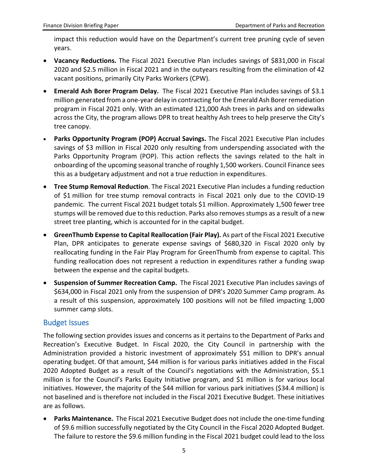impact this reduction would have on the Department's current tree pruning cycle of seven years.

- **Vacancy Reductions.** The Fiscal 2021 Executive Plan includes savings of \$831,000 in Fiscal 2020 and \$2.5 million in Fiscal 2021 and in the outyears resulting from the elimination of 42 vacant positions, primarily City Parks Workers (CPW).
- **Emerald Ash Borer Program Delay.** The Fiscal 2021 Executive Plan includes savings of \$3.1 million generated from a one-year delay in contracting for the Emerald Ash Borer remediation program in Fiscal 2021 only. With an estimated 121,000 Ash trees in parks and on sidewalks across the City, the program allows DPR to treat healthy Ash trees to help preserve the City's tree canopy.
- **Parks Opportunity Program (POP) Accrual Savings.** The Fiscal 2021 Executive Plan includes savings of \$3 million in Fiscal 2020 only resulting from underspending associated with the Parks Opportunity Program (POP). This action reflects the savings related to the halt in onboarding of the upcoming seasonal tranche of roughly 1,500 workers. Council Finance sees this as a budgetary adjustment and not a true reduction in expenditures.
- **Tree Stump Removal Reduction**. The Fiscal 2021 Executive Plan includes a funding reduction of \$1 million for tree stump removal contracts in Fiscal 2021 only due to the COVID-19 pandemic. The current Fiscal 2021 budget totals \$1 million. Approximately 1,500 fewer tree stumps will be removed due to this reduction. Parks also removes stumps as a result of a new street tree planting, which is accounted for in the capital budget.
- **GreenThumb Expense to Capital Reallocation (Fair Play).** As part of the Fiscal 2021 Executive Plan, DPR anticipates to generate expense savings of \$680,320 in Fiscal 2020 only by reallocating funding in the Fair Play Program for GreenThumb from expense to capital. This funding reallocation does not represent a reduction in expenditures rather a funding swap between the expense and the capital budgets.
- **Suspension of Summer Recreation Camp.** The Fiscal 2021 Executive Plan includes savings of \$634,000 in Fiscal 2021 only from the suspension of DPR's 2020 Summer Camp program. As a result of this suspension, approximately 100 positions will not be filled impacting 1,000 summer camp slots.

### Budget Issues

The following section provides issues and concerns as it pertains to the Department of Parks and Recreation's Executive Budget. In Fiscal 2020, the City Council in partnership with the Administration provided a historic investment of approximately \$51 million to DPR's annual operating budget. Of that amount, \$44 million is for various parks initiatives added in the Fiscal 2020 Adopted Budget as a result of the Council's negotiations with the Administration, \$5.1 million is for the Council's Parks Equity Initiative program, and \$1 million is for various local initiatives. However, the majority of the \$44 million for various park initiatives (\$34.4 million) is not baselined and is therefore not included in the Fiscal 2021 Executive Budget. These initiatives are as follows.

• **Parks Maintenance.** The Fiscal 2021 Executive Budget does not include the one-time funding of \$9.6 million successfully negotiated by the City Council in the Fiscal 2020 Adopted Budget. The failure to restore the \$9.6 million funding in the Fiscal 2021 budget could lead to the loss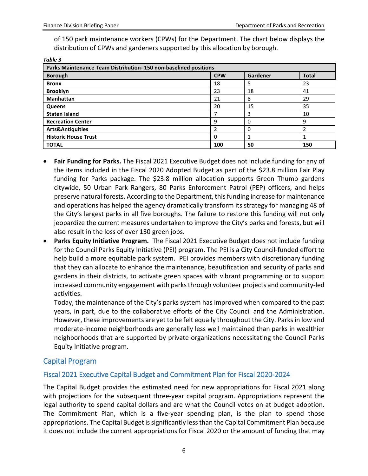of 150 park maintenance workers (CPWs) for the Department. The chart below displays the distribution of CPWs and gardeners supported by this allocation by borough.

| Table 3                                                         |            |          |              |  |  |  |
|-----------------------------------------------------------------|------------|----------|--------------|--|--|--|
| Parks Maintenance Team Distribution-150 non-baselined positions |            |          |              |  |  |  |
| <b>Borough</b>                                                  | <b>CPW</b> | Gardener | <b>Total</b> |  |  |  |
| <b>Bronx</b>                                                    | 18         | 5        | 23           |  |  |  |
| <b>Brooklyn</b>                                                 | 23         | 18       | 41           |  |  |  |
| <b>Manhattan</b>                                                | 21         | 8        | 29           |  |  |  |
| Queens                                                          | 20         | 15       | 35           |  |  |  |
| <b>Staten Island</b>                                            | 7          | 3        | 10           |  |  |  |
| <b>Recreation Center</b>                                        | 9          | 0        | 9            |  |  |  |
| <b>Arts&amp;Antiquities</b>                                     | 2          | 0        |              |  |  |  |
| <b>Historic House Trust</b>                                     | 0          |          |              |  |  |  |
| <b>TOTAL</b>                                                    | 100        | 50       | 150          |  |  |  |

- **Fair Funding for Parks.** The Fiscal 2021 Executive Budget does not include funding for any of the items included in the Fiscal 2020 Adopted Budget as part of the \$23.8 million Fair Play funding for Parks package. The \$23.8 million allocation supports Green Thumb gardens citywide, 50 Urban Park Rangers, 80 Parks Enforcement Patrol (PEP) officers, and helps preserve natural forests. According to the Department, this funding increase for maintenance and operations has helped the agency dramatically transform its strategy for managing 48 of the City's largest parks in all five boroughs. The failure to restore this funding will not only jeopardize the current measures undertaken to improve the City's parks and forests, but will also result in the loss of over 130 green jobs.
- **Parks Equity Initiative Program.** The Fiscal 2021 Executive Budget does not include funding for the Council Parks Equity Initiative (PEI) program. The PEI is a City Council-funded effort to help build a more equitable park system. PEI provides members with discretionary funding that they can allocate to enhance the maintenance, beautification and security of parks and gardens in their districts, to activate green spaces with vibrant programming or to support increased community engagement with parks through volunteer projects and community-led activities.

Today, the maintenance of the City's parks system has improved when compared to the past years, in part, due to the collaborative efforts of the City Council and the Administration. However, these improvements are yet to be felt equally throughout the City. Parks in low and moderate-income neighborhoods are generally less well maintained than parks in wealthier neighborhoods that are supported by private organizations necessitating the Council Parks Equity Initiative program.

## Capital Program

### Fiscal 2021 Executive Capital Budget and Commitment Plan for Fiscal 2020-2024

The Capital Budget provides the estimated need for new appropriations for Fiscal 2021 along with projections for the subsequent three-year capital program. Appropriations represent the legal authority to spend capital dollars and are what the Council votes on at budget adoption. The Commitment Plan, which is a five-year spending plan, is the plan to spend those appropriations. The Capital Budget is significantly less than the Capital Commitment Plan because it does not include the current appropriations for Fiscal 2020 or the amount of funding that may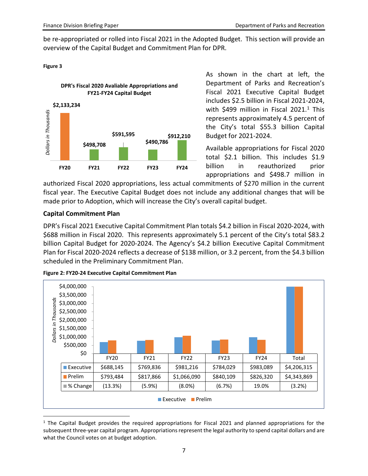be re-appropriated or rolled into Fiscal 2021 in the Adopted Budget. This section will provide an overview of the Capital Budget and Commitment Plan for DPR.

#### **Figure 3**



As shown in the chart at left, the Department of Parks and Recreation's Fiscal 2021 Executive Capital Budget includes \$2.5 billion in Fiscal 2021-2024, with \$499 million in Fiscal 202[1](#page-7-0).<sup>1</sup> This represents approximately 4.5 percent of the City's total \$55.3 billion Capital Budget for 2021-2024.

Available appropriations for Fiscal 2020 total \$2.1 billion. This includes \$1.9 billion in reauthorized prior appropriations and \$498.7 million in

authorized Fiscal 2020 appropriations, less actual commitments of \$270 million in the current fiscal year. The Executive Capital Budget does not include any additional changes that will be made prior to Adoption, which will increase the City's overall capital budget.

#### **Capital Commitment Plan**

DPR's Fiscal 2021 Executive Capital Commitment Plan totals \$4.2 billion in Fiscal 2020-2024, with \$688 million in Fiscal 2020. This represents approximately 5.1 percent of the City's total \$83.2 billion Capital Budget for 2020-2024. The Agency's \$4.2 billion Executive Capital Commitment Plan for Fiscal 2020-2024 reflects a decrease of \$138 million, or 3.2 percent, from the \$4.3 billion scheduled in the Preliminary Commitment Plan.



**Figure 2: FY20-24 Executive Capital Commitment Plan** 

<span id="page-7-0"></span><sup>1</sup> The Capital Budget provides the required appropriations for Fiscal 2021 and planned appropriations for the subsequent three-year capital program. Appropriations represent the legal authority to spend capital dollars and are what the Council votes on at budget adoption.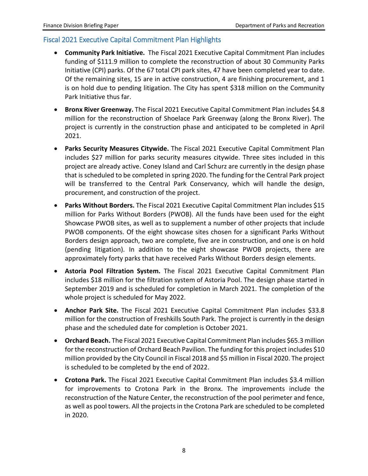#### Fiscal 2021 Executive Capital Commitment Plan Highlights

- **Community Park Initiative.** The Fiscal 2021 Executive Capital Commitment Plan includes funding of \$111.9 million to complete the reconstruction of about 30 Community Parks Initiative (CPI) parks. Of the 67 total CPI park sites, 47 have been completed year to date. Of the remaining sites, 15 are in active construction, 4 are finishing procurement, and 1 is on hold due to pending litigation. The City has spent \$318 million on the Community Park Initiative thus far.
- **Bronx River Greenway.** The Fiscal 2021 Executive Capital Commitment Plan includes \$4.8 million for the reconstruction of Shoelace Park Greenway (along the Bronx River). The project is currently in the construction phase and anticipated to be completed in April 2021.
- **Parks Security Measures Citywide.** The Fiscal 2021 Executive Capital Commitment Plan includes \$27 million for parks security measures citywide. Three sites included in this project are already active. Coney Island and Carl Schurz are currently in the design phase that is scheduled to be completed in spring 2020. The funding for the Central Park project will be transferred to the Central Park Conservancy, which will handle the design, procurement, and construction of the project.
- **Parks Without Borders.** The Fiscal 2021 Executive Capital Commitment Plan includes \$15 million for Parks Without Borders (PWOB). All the funds have been used for the eight Showcase PWOB sites, as well as to supplement a number of other projects that include PWOB components. Of the eight showcase sites chosen for a significant Parks Without Borders design approach, two are complete, five are in construction, and one is on hold (pending litigation). In addition to the eight showcase PWOB projects, there are approximately forty parks that have received Parks Without Borders design elements.
- **Astoria Pool Filtration System.** The Fiscal 2021 Executive Capital Commitment Plan includes \$18 million for the filtration system of Astoria Pool. The design phase started in September 2019 and is scheduled for completion in March 2021. The completion of the whole project is scheduled for May 2022.
- **Anchor Park Site.** The Fiscal 2021 Executive Capital Commitment Plan includes \$33.8 million for the construction of Freshkills South Park. The project is currently in the design phase and the scheduled date for completion is October 2021.
- **Orchard Beach.** The Fiscal 2021 Executive Capital Commitment Plan includes \$65.3 million for the reconstruction of Orchard Beach Pavilion. The funding for this project includes \$10 million provided by the City Council in Fiscal 2018 and \$5 million in Fiscal 2020. The project is scheduled to be completed by the end of 2022.
- **Crotona Park.** The Fiscal 2021 Executive Capital Commitment Plan includes \$3.4 million for improvements to Crotona Park in the Bronx. The improvements include the reconstruction of the Nature Center, the reconstruction of the pool perimeter and fence, as well as pool towers. All the projects in the Crotona Park are scheduled to be completed in 2020.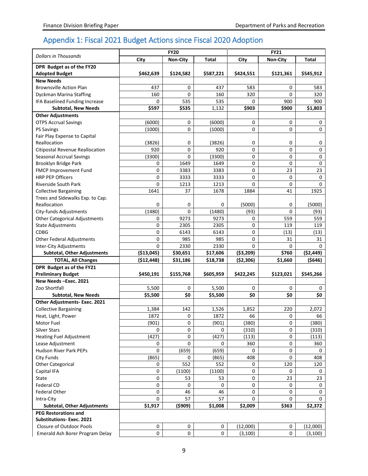## Appendix 1: Fiscal 2021 Budget Actions since Fiscal 2020 Adoption

|                                      | <b>FY20</b> |                 |           | <b>FY21</b> |                 |            |
|--------------------------------------|-------------|-----------------|-----------|-------------|-----------------|------------|
| <b>Dollars in Thousands</b>          | City        | <b>Non-City</b> | Total     | City        | <b>Non-City</b> | Total      |
| DPR Budget as of the FY20            |             |                 |           |             |                 |            |
| <b>Adopted Budget</b>                | \$462,639   | \$124,582       | \$587,221 | \$424,551   | \$121,361       | \$545,912  |
| <b>New Needs</b>                     |             |                 |           |             |                 |            |
| <b>Brownsville Action Plan</b>       | 437         | 0               | 437       | 583         | 0               | 583        |
| Dyckman Marina Staffing              | 160         | $\Omega$        | 160       | 320         | 0               | 320        |
| IFA Baselined Funding Increase       | 0           | 535             | 535       | $\Omega$    | 900             | 900        |
| <b>Subtotal, New Needs</b>           | \$597       | \$535           | 1,132     | \$903       | \$900           | \$1,803    |
| <b>Other Adjustments</b>             |             |                 |           |             |                 |            |
| <b>OTPS Accrual Savings</b>          | (6000)      | 0               | (6000)    | 0           | 0               | 0          |
| <b>PS Savings</b>                    | (1000)      | $\mathbf 0$     | (1000)    | 0           | 0               | 0          |
| Fair Play Expense to Capital         |             |                 |           |             |                 |            |
| Reallocation                         | (3826)      | 0               | (3826)    | 0           | 0               | 0          |
| Citipostal Revenue Reallocation      | 920         | $\pmb{0}$       | 920       | 0           | 0               | 0          |
| <b>Seasonal Accrual Savings</b>      | (3300)      | $\mathbf 0$     | (3300)    | 0           | 0               | 0          |
| Brooklyn Bridge Park                 | 0           | 1649            | 1649      | 0           | 0               | 0          |
| FMCP Improvement Fund                | 0           | 3383            | 3383      | 0           | 23              | 23         |
| <b>HRP PEP Officers</b>              | 0           | 3333            | 3333      | 0           | 0               | 0          |
| <b>Riverside South Park</b>          | 0           | 1213            | 1213      | 0           | 0               | $\Omega$   |
| <b>Collective Bargaining</b>         | 1641        | 37              | 1678      | 1884        | 41              | 1925       |
| Trees and Sidewalks Exp. to Cap.     |             |                 |           |             |                 |            |
| Reallocation                         | 0           | 0               | 0         | (5000)      | 0               | (5000)     |
| City-funds Adjustments               | (1480)      | $\Omega$        | (1480)    | (93)        | 0               | (93)       |
| <b>Other Categorical Adjustments</b> | 0           | 9273            | 9273      | 0           | 559             | 559        |
| <b>State Adjustments</b>             | 0           | 2305            | 2305      | 0           | 119             | 119        |
| <b>CDBG</b>                          | 0           | 6143            | 6143      | 0           | (13)            | (13)       |
| <b>Other Federal Adjustments</b>     | 0           | 985             | 985       | 0           | 31              | 31         |
| Inter-City Adjustments               | 0           | 2330            | 2330      | $\Omega$    | 0               | 0          |
| <b>Subtotal, Other Adjustments</b>   | ( \$13,045) | \$30,651        | \$17,606  | ( \$3,209)  | \$760           | ( \$2,449) |
| <b>TOTAL, All Changes</b>            | (\$12,448)  | \$31,186        | \$18,738  | ( \$2,306)  | \$1,660         | (5646)     |
| DPR Budget as of the FY21            |             |                 |           |             |                 |            |
| <b>Preliminary Budget</b>            | \$450,191   | \$155,768       | \$605,959 | \$422,245   | \$123,021       | \$545,266  |
| New Needs-Exec. 2021                 |             |                 |           |             |                 |            |
| Zoo Shortfall                        | 5,500       | 0               | 5,500     | 0           | 0               | 0          |
| <b>Subtotal, New Needs</b>           | \$5,500     | \$0             | \$5.500   | \$0         | \$0             | \$0        |
| Other Adjustments- Exec. 2021        |             |                 |           |             |                 |            |
| <b>Collective Bargaining</b>         | 1,384       | 142             | 1,526     | 1,852       | 220             | 2,072      |
| Heat, Light, Power                   | 1872        | 0               | 1872      | 66          | 0               | 66         |
| Motor Fuel                           | (901)       | 0               | (901)     | (380)       | 0               | (380)      |
| <b>Silver Stars</b>                  | 0           | 0               | 0         | (310)       | 0               | (310)      |
| <b>Heating Fuel Adjustment</b>       | (427)       | 0               | (427)     | (113)       | 0               | (113)      |
| Lease Adjustment                     | 0           | 0               | 0         | 360         | 0               | 360        |
| Hudson River Park PEPs               | 0           | (659)           | (659)     | 0           | 0               | 0          |
|                                      |             |                 |           | 408         | 0               | 408        |
| <b>City Funds</b>                    | (865)       | 0<br>552        | (865)     |             |                 |            |
| <b>Other Categorical</b>             | 0           |                 | 552       | 0           | 120             | 120        |
| Capital IFA                          | 0           | (1100)          | (1100)    | 0           | 0               | 0          |
| State                                | 0           | 53              | 53        | 0           | 23              | 23         |
| <b>Federal CD</b>                    | 0           | 0               | 0         | 0           | 0               | 0          |
| Federal Other                        | 0           | 46              | 46        | 0           | 0               | 0          |
| Intra-City                           | 0           | 57              | 57        | 0           | 0               | 0          |
| <b>Subtotal, Other Adjustments</b>   | \$1,917     | (5909)          | \$1,008   | \$2,009     | \$363           | \$2,372    |
| <b>PEG Restorations and</b>          |             |                 |           |             |                 |            |
| <b>Substitutions-Exec. 2021</b>      |             |                 |           |             |                 |            |
| <b>Closure of Outdoor Pools</b>      | 0           | 0               | 0         | (12,000)    | 0               | (12,000)   |
| Emerald Ash Borer Program Delay      | 0           | $\pmb{0}$       | 0         | (3, 100)    | 0               | (3, 100)   |